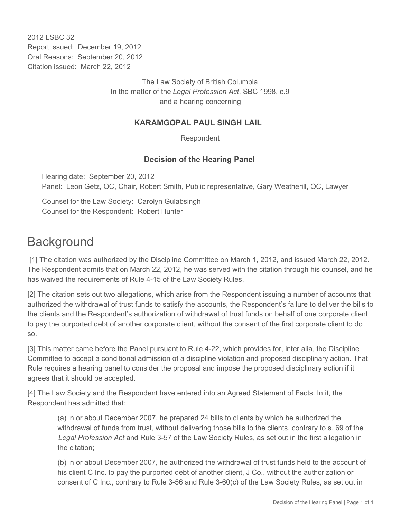2012 LSBC 32 Report issued: December 19, 2012 Oral Reasons: September 20, 2012 Citation issued: March 22, 2012

> The Law Society of British Columbia In the matter of the *Legal Profession Act*, SBC 1998, c.9 and a hearing concerning

#### **KARAMGOPAL PAUL SINGH LAIL**

Respondent

#### **Decision of the Hearing Panel**

Hearing date: September 20, 2012 Panel: Leon Getz, QC, Chair, Robert Smith, Public representative, Gary Weatherill, QC, Lawyer

Counsel for the Law Society: Carolyn Gulabsingh Counsel for the Respondent: Robert Hunter

## **Background**

 [1] The citation was authorized by the Discipline Committee on March 1, 2012, and issued March 22, 2012. The Respondent admits that on March 22, 2012, he was served with the citation through his counsel, and he has waived the requirements of Rule 4-15 of the Law Society Rules.

[2] The citation sets out two allegations, which arise from the Respondent issuing a number of accounts that authorized the withdrawal of trust funds to satisfy the accounts, the Respondent's failure to deliver the bills to the clients and the Respondent's authorization of withdrawal of trust funds on behalf of one corporate client to pay the purported debt of another corporate client, without the consent of the first corporate client to do so.

[3] This matter came before the Panel pursuant to Rule 4-22, which provides for, inter alia, the Discipline Committee to accept a conditional admission of a discipline violation and proposed disciplinary action. That Rule requires a hearing panel to consider the proposal and impose the proposed disciplinary action if it agrees that it should be accepted.

[4] The Law Society and the Respondent have entered into an Agreed Statement of Facts. In it, the Respondent has admitted that:

(a) in or about December 2007, he prepared 24 bills to clients by which he authorized the withdrawal of funds from trust, without delivering those bills to the clients, contrary to s. 69 of the *Legal Profession Act* and Rule 3-57 of the Law Society Rules, as set out in the first allegation in the citation;

(b) in or about December 2007, he authorized the withdrawal of trust funds held to the account of his client C Inc. to pay the purported debt of another client, J Co., without the authorization or consent of C Inc., contrary to Rule 3-56 and Rule 3-60(c) of the Law Society Rules, as set out in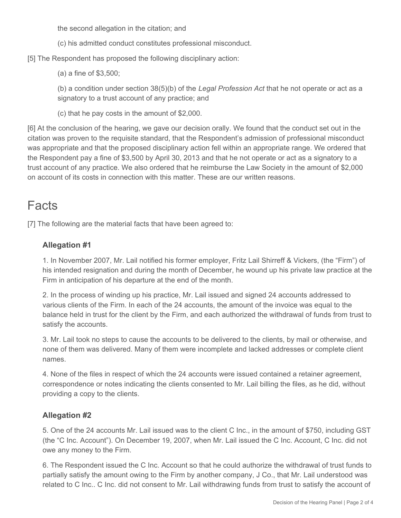the second allegation in the citation; and

(c) his admitted conduct constitutes professional misconduct.

[5] The Respondent has proposed the following disciplinary action:

(a) a fine of \$3,500;

(b) a condition under section 38(5)(b) of the *Legal Profession Act* that he not operate or act as a signatory to a trust account of any practice; and

(c) that he pay costs in the amount of \$2,000.

[6] At the conclusion of the hearing, we gave our decision orally. We found that the conduct set out in the citation was proven to the requisite standard, that the Respondent's admission of professional misconduct was appropriate and that the proposed disciplinary action fell within an appropriate range. We ordered that the Respondent pay a fine of \$3,500 by April 30, 2013 and that he not operate or act as a signatory to a trust account of any practice. We also ordered that he reimburse the Law Society in the amount of \$2,000 on account of its costs in connection with this matter. These are our written reasons.

# Facts

[7] The following are the material facts that have been agreed to:

## **Allegation #1**

1. In November 2007, Mr. Lail notified his former employer, Fritz Lail Shirreff & Vickers, (the "Firm") of his intended resignation and during the month of December, he wound up his private law practice at the Firm in anticipation of his departure at the end of the month.

2. In the process of winding up his practice, Mr. Lail issued and signed 24 accounts addressed to various clients of the Firm. In each of the 24 accounts, the amount of the invoice was equal to the balance held in trust for the client by the Firm, and each authorized the withdrawal of funds from trust to satisfy the accounts.

3. Mr. Lail took no steps to cause the accounts to be delivered to the clients, by mail or otherwise, and none of them was delivered. Many of them were incomplete and lacked addresses or complete client names.

4. None of the files in respect of which the 24 accounts were issued contained a retainer agreement, correspondence or notes indicating the clients consented to Mr. Lail billing the files, as he did, without providing a copy to the clients.

## **Allegation #2**

5. One of the 24 accounts Mr. Lail issued was to the client C Inc., in the amount of \$750, including GST (the "C Inc. Account"). On December 19, 2007, when Mr. Lail issued the C Inc. Account, C Inc. did not owe any money to the Firm.

6. The Respondent issued the C Inc. Account so that he could authorize the withdrawal of trust funds to partially satisfy the amount owing to the Firm by another company, J Co., that Mr. Lail understood was related to C Inc.. C Inc. did not consent to Mr. Lail withdrawing funds from trust to satisfy the account of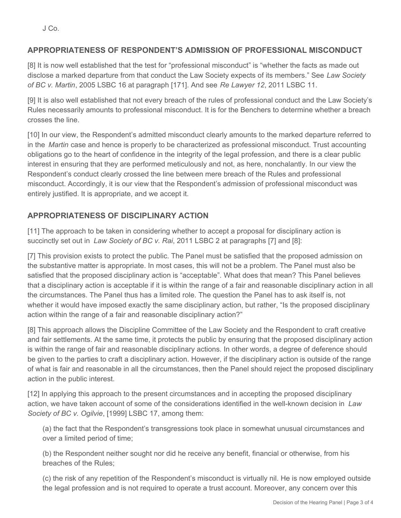J Co.

## **APPROPRIATENESS OF RESPONDENT'S ADMISSION OF PROFESSIONAL MISCONDUCT**

[8] It is now well established that the test for "professional misconduct" is "whether the facts as made out disclose a marked departure from that conduct the Law Society expects of its members." See *Law Society of BC v. Martin*, 2005 LSBC 16 at paragraph [171]. And see *Re Lawyer 12*, 2011 LSBC 11.

[9] It is also well established that not every breach of the rules of professional conduct and the Law Society's Rules necessarily amounts to professional misconduct. It is for the Benchers to determine whether a breach crosses the line.

[10] In our view, the Respondent's admitted misconduct clearly amounts to the marked departure referred to in the *Martin* case and hence is properly to be characterized as professional misconduct. Trust accounting obligations go to the heart of confidence in the integrity of the legal profession, and there is a clear public interest in ensuring that they are performed meticulously and not, as here, nonchalantly. In our view the Respondent's conduct clearly crossed the line between mere breach of the Rules and professional misconduct. Accordingly, it is our view that the Respondent's admission of professional misconduct was entirely justified. It is appropriate, and we accept it.

## **APPROPRIATENESS OF DISCIPLINARY ACTION**

[11] The approach to be taken in considering whether to accept a proposal for disciplinary action is succinctly set out in *Law Society of BC v. Rai*, 2011 LSBC 2 at paragraphs [7] and [8]:

[7] This provision exists to protect the public. The Panel must be satisfied that the proposed admission on the substantive matter is appropriate. In most cases, this will not be a problem. The Panel must also be satisfied that the proposed disciplinary action is "acceptable". What does that mean? This Panel believes that a disciplinary action is acceptable if it is within the range of a fair and reasonable disciplinary action in all the circumstances. The Panel thus has a limited role. The question the Panel has to ask itself is, not whether it would have imposed exactly the same disciplinary action, but rather, "Is the proposed disciplinary action within the range of a fair and reasonable disciplinary action?"

[8] This approach allows the Discipline Committee of the Law Society and the Respondent to craft creative and fair settlements. At the same time, it protects the public by ensuring that the proposed disciplinary action is within the range of fair and reasonable disciplinary actions. In other words, a degree of deference should be given to the parties to craft a disciplinary action. However, if the disciplinary action is outside of the range of what is fair and reasonable in all the circumstances, then the Panel should reject the proposed disciplinary action in the public interest.

[12] In applying this approach to the present circumstances and in accepting the proposed disciplinary action, we have taken account of some of the considerations identified in the well-known decision in *Law Society of BC v. Ogilvie*, [1999] LSBC 17, among them:

(a) the fact that the Respondent's transgressions took place in somewhat unusual circumstances and over a limited period of time;

(b) the Respondent neither sought nor did he receive any benefit, financial or otherwise, from his breaches of the Rules;

(c) the risk of any repetition of the Respondent's misconduct is virtually nil. He is now employed outside the legal profession and is not required to operate a trust account. Moreover, any concern over this